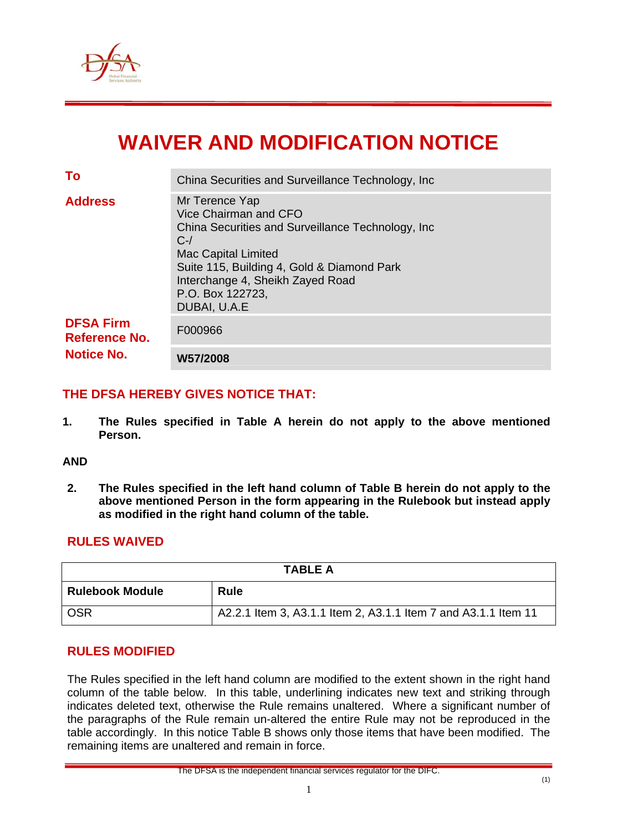

# **WAIVER AND MODIFICATION NOTICE**

| <b>Notice No.</b>                        | W57/2008                                                                                                                                                                                                                                                    |
|------------------------------------------|-------------------------------------------------------------------------------------------------------------------------------------------------------------------------------------------------------------------------------------------------------------|
| <b>DFSA Firm</b><br><b>Reference No.</b> | F000966                                                                                                                                                                                                                                                     |
| <b>Address</b>                           | Mr Terence Yap<br>Vice Chairman and CFO<br>China Securities and Surveillance Technology, Inc.<br>$C$ -/<br><b>Mac Capital Limited</b><br>Suite 115, Building 4, Gold & Diamond Park<br>Interchange 4, Sheikh Zayed Road<br>P.O. Box 122723,<br>DUBAI, U.A.E |
| To                                       | China Securities and Surveillance Technology, Inc.                                                                                                                                                                                                          |

## **THE DFSA HEREBY GIVES NOTICE THAT:**

**1. The Rules specified in Table A herein do not apply to the above mentioned Person.** 

#### **AND**

**2. The Rules specified in the left hand column of Table B herein do not apply to the above mentioned Person in the form appearing in the Rulebook but instead apply as modified in the right hand column of the table.** 

## **RULES WAIVED**

| <b>TABLE A</b>         |                                                                |  |  |  |  |
|------------------------|----------------------------------------------------------------|--|--|--|--|
| <b>Rulebook Module</b> | <b>Rule</b>                                                    |  |  |  |  |
| <b>OSR</b>             | A2.2.1 Item 3, A3.1.1 Item 2, A3.1.1 Item 7 and A3.1.1 Item 11 |  |  |  |  |

#### **RULES MODIFIED**

The Rules specified in the left hand column are modified to the extent shown in the right hand column of the table below. In this table, underlining indicates new text and striking through indicates deleted text, otherwise the Rule remains unaltered. Where a significant number of the paragraphs of the Rule remain un-altered the entire Rule may not be reproduced in the table accordingly. In this notice Table B shows only those items that have been modified. The remaining items are unaltered and remain in force.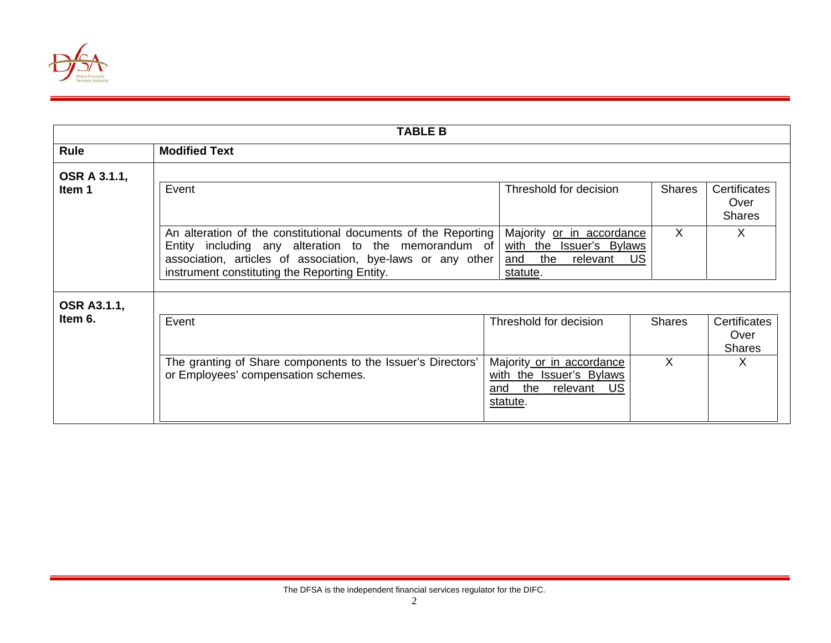

| <b>TABLE B</b>                |                                                                                                                                                                                                                                        |                                                                                                                           |                    |                                            |  |  |  |
|-------------------------------|----------------------------------------------------------------------------------------------------------------------------------------------------------------------------------------------------------------------------------------|---------------------------------------------------------------------------------------------------------------------------|--------------------|--------------------------------------------|--|--|--|
| Rule                          | <b>Modified Text</b>                                                                                                                                                                                                                   |                                                                                                                           |                    |                                            |  |  |  |
| OSR A 3.1.1,<br>Item 1        | Event                                                                                                                                                                                                                                  | Threshold for decision                                                                                                    | <b>Shares</b>      | Certificates<br>Over<br><b>Shares</b>      |  |  |  |
|                               | An alteration of the constitutional documents of the Reporting<br>Entity including any alteration to the memorandum of<br>association, articles of association, bye-laws or any other<br>instrument constituting the Reporting Entity. | Majority or in accordance<br>with the Issuer's Bylaws<br>and the<br>relevant<br>statute.                                  | $\sf X$<br>US      | X                                          |  |  |  |
| <b>OSR A3.1.1,</b><br>Item 6. | Event<br>The granting of Share components to the Issuer's Directors'<br>or Employees' compensation schemes.                                                                                                                            | Threshold for decision<br>Majority or in accordance<br>with the Issuer's Bylaws<br>the relevant<br>US.<br>and<br>statute. | <b>Shares</b><br>X | Certificates<br>Over<br><b>Shares</b><br>X |  |  |  |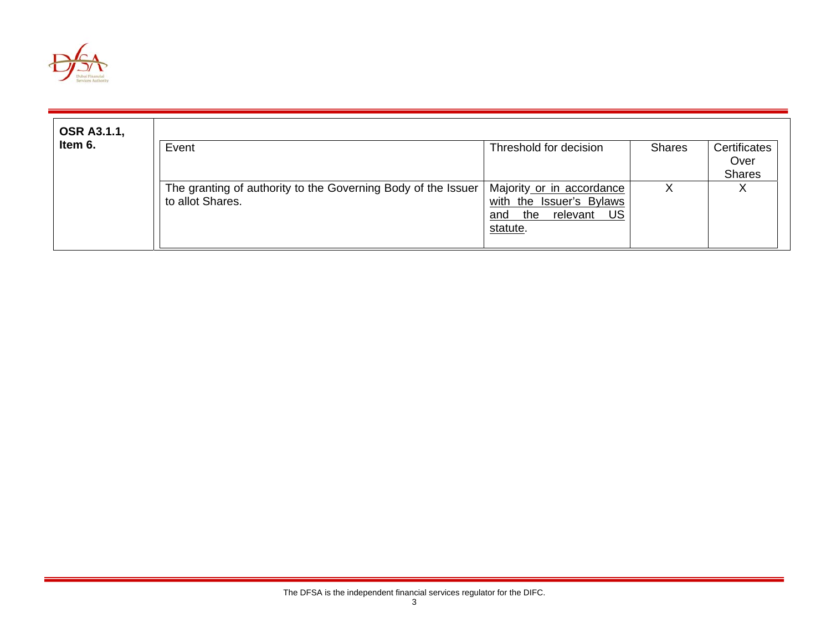

| <b>OSR A3.1.1,</b> |                                                                                   |                                                                                                   |               |                                       |  |
|--------------------|-----------------------------------------------------------------------------------|---------------------------------------------------------------------------------------------------|---------------|---------------------------------------|--|
| Item 6.            | Event                                                                             | Threshold for decision                                                                            | <b>Shares</b> | Certificates<br>Over<br><b>Shares</b> |  |
|                    | The granting of authority to the Governing Body of the Issuer<br>to allot Shares. | Majority or in accordance<br>with the Issuer's Bylaws<br>US<br>the<br>relevant<br>and<br>statute. | X             | v<br>⋏                                |  |